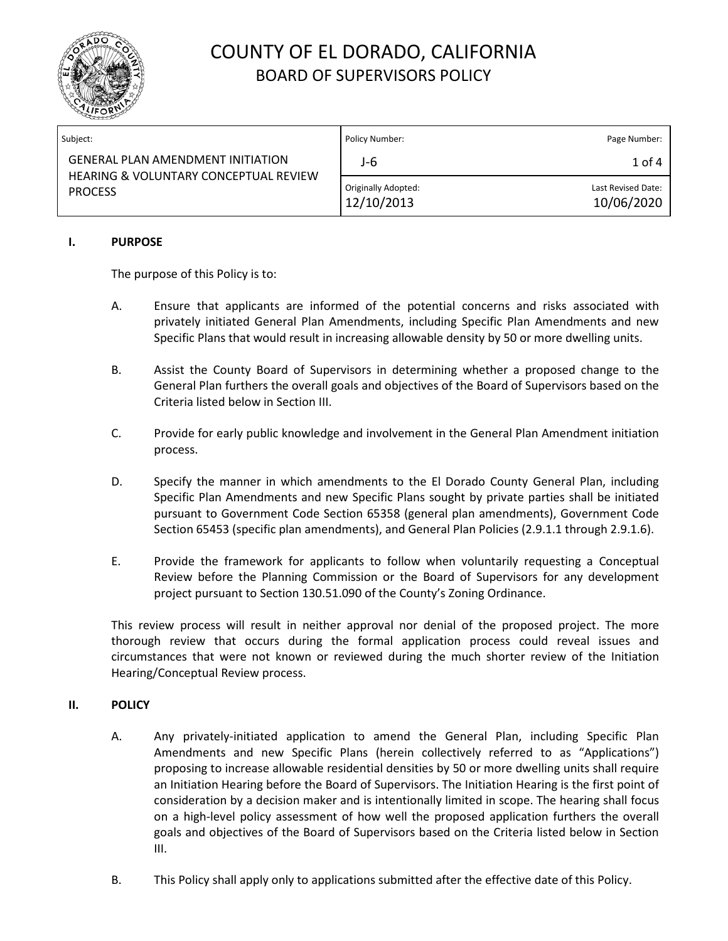

| Subject:                                                                                                       | Policy Number:                    | Page Number:                     |
|----------------------------------------------------------------------------------------------------------------|-----------------------------------|----------------------------------|
| <b>GENERAL PLAN AMENDMENT INITIATION</b><br><b>HEARING &amp; VOLUNTARY CONCEPTUAL REVIEW</b><br><b>PROCESS</b> | J-6                               | $1$ of $4$                       |
|                                                                                                                | Originally Adopted:<br>12/10/2013 | Last Revised Date:<br>10/06/2020 |

#### **I. PURPOSE**

The purpose of this Policy is to:

- A. Ensure that applicants are informed of the potential concerns and risks associated with privately initiated General Plan Amendments, including Specific Plan Amendments and new Specific Plans that would result in increasing allowable density by 50 or more dwelling units.
- B. Assist the County Board of Supervisors in determining whether a proposed change to the General Plan furthers the overall goals and objectives of the Board of Supervisors based on the Criteria listed below in Section III.
- C. Provide for early public knowledge and involvement in the General Plan Amendment initiation process.
- D. Specify the manner in which amendments to the El Dorado County General Plan, including Specific Plan Amendments and new Specific Plans sought by private parties shall be initiated pursuant to Government Code Section 65358 (general plan amendments), Government Code Section 65453 (specific plan amendments), and General Plan Policies (2.9.1.1 through 2.9.1.6).
- E. Provide the framework for applicants to follow when voluntarily requesting a Conceptual Review before the Planning Commission or the Board of Supervisors for any development project pursuant to Section 130.51.090 of the County's Zoning Ordinance.

This review process will result in neither approval nor denial of the proposed project. The more thorough review that occurs during the formal application process could reveal issues and circumstances that were not known or reviewed during the much shorter review of the Initiation Hearing/Conceptual Review process.

#### **II. POLICY**

- A. Any privately-initiated application to amend the General Plan, including Specific Plan Amendments and new Specific Plans (herein collectively referred to as "Applications") proposing to increase allowable residential densities by 50 or more dwelling units shall require an Initiation Hearing before the Board of Supervisors. The Initiation Hearing is the first point of consideration by a decision maker and is intentionally limited in scope. The hearing shall focus on a high-level policy assessment of how well the proposed application furthers the overall goals and objectives of the Board of Supervisors based on the Criteria listed below in Section III.
- B. This Policy shall apply only to applications submitted after the effective date of this Policy.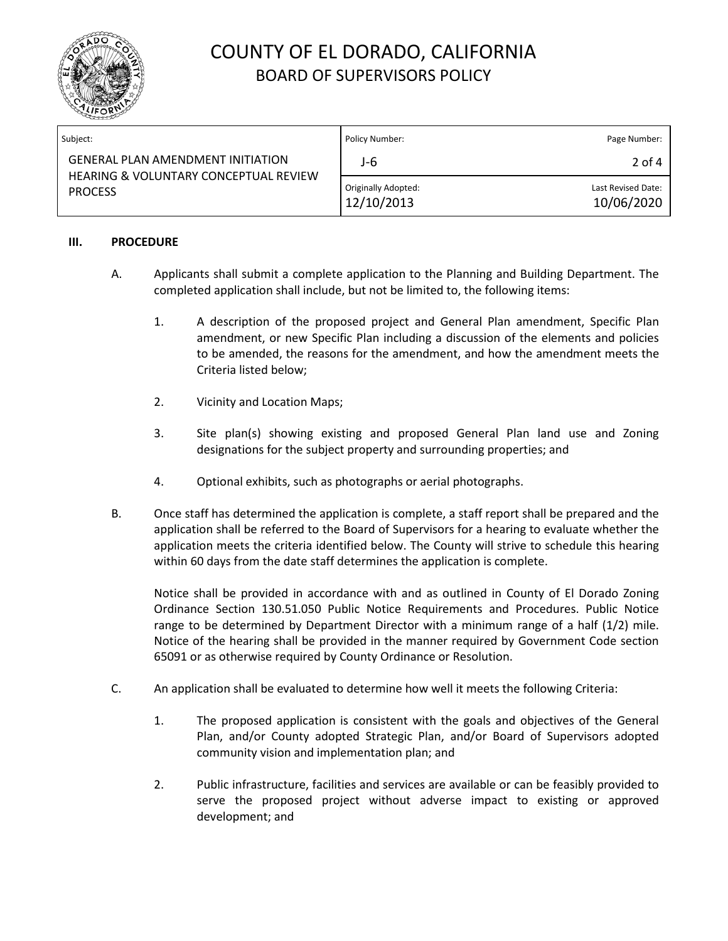

| Subject:                                                                                            | Policy Number:                    | Page Number:                     |
|-----------------------------------------------------------------------------------------------------|-----------------------------------|----------------------------------|
| <b>GENERAL PLAN AMENDMENT INITIATION</b><br>HEARING & VOLUNTARY CONCEPTUAL REVIEW<br><b>PROCESS</b> | J-6                               | 2 of 4                           |
|                                                                                                     | Originally Adopted:<br>12/10/2013 | Last Revised Date:<br>10/06/2020 |

#### **III. PROCEDURE**

- A. Applicants shall submit a complete application to the Planning and Building Department. The completed application shall include, but not be limited to, the following items:
	- 1. A description of the proposed project and General Plan amendment, Specific Plan amendment, or new Specific Plan including a discussion of the elements and policies to be amended, the reasons for the amendment, and how the amendment meets the Criteria listed below;
	- 2. Vicinity and Location Maps;
	- 3. Site plan(s) showing existing and proposed General Plan land use and Zoning designations for the subject property and surrounding properties; and
	- 4. Optional exhibits, such as photographs or aerial photographs.
- B. Once staff has determined the application is complete, a staff report shall be prepared and the application shall be referred to the Board of Supervisors for a hearing to evaluate whether the application meets the criteria identified below. The County will strive to schedule this hearing within 60 days from the date staff determines the application is complete.

Notice shall be provided in accordance with and as outlined in County of El Dorado Zoning Ordinance Section 130.51.050 Public Notice Requirements and Procedures. Public Notice range to be determined by Department Director with a minimum range of a half (1/2) mile. Notice of the hearing shall be provided in the manner required by Government Code section 65091 or as otherwise required by County Ordinance or Resolution.

- C. An application shall be evaluated to determine how well it meets the following Criteria:
	- 1. The proposed application is consistent with the goals and objectives of the General Plan, and/or County adopted Strategic Plan, and/or Board of Supervisors adopted community vision and implementation plan; and
	- 2. Public infrastructure, facilities and services are available or can be feasibly provided to serve the proposed project without adverse impact to existing or approved development; and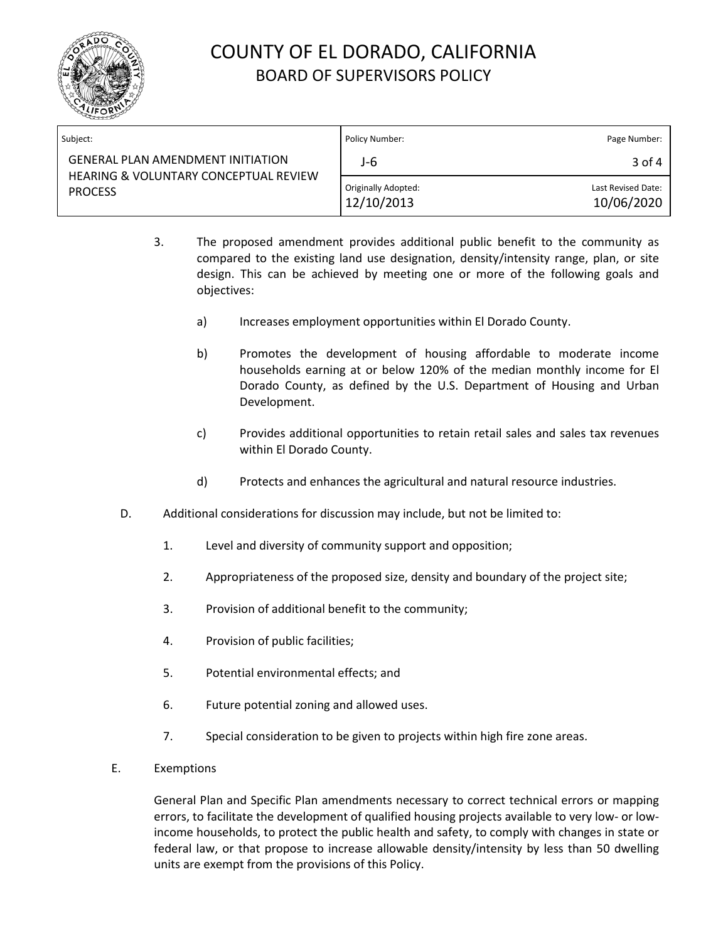

| Subject:                                                                                                       | Policy Number:                    | Page Number:                     |
|----------------------------------------------------------------------------------------------------------------|-----------------------------------|----------------------------------|
| <b>GENERAL PLAN AMENDMENT INITIATION</b><br><b>HEARING &amp; VOLUNTARY CONCEPTUAL REVIEW</b><br><b>PROCESS</b> | J-6                               | 3 of 4                           |
|                                                                                                                | Originally Adopted:<br>12/10/2013 | Last Revised Date:<br>10/06/2020 |

- 3. The proposed amendment provides additional public benefit to the community as compared to the existing land use designation, density/intensity range, plan, or site design. This can be achieved by meeting one or more of the following goals and objectives:
	- a) Increases employment opportunities within El Dorado County.
	- b) Promotes the development of housing affordable to moderate income households earning at or below 120% of the median monthly income for El Dorado County, as defined by the U.S. Department of Housing and Urban Development.
	- c) Provides additional opportunities to retain retail sales and sales tax revenues within El Dorado County.
	- d) Protects and enhances the agricultural and natural resource industries.
- D. Additional considerations for discussion may include, but not be limited to:
	- 1. Level and diversity of community support and opposition;
	- 2. Appropriateness of the proposed size, density and boundary of the project site;
	- 3. Provision of additional benefit to the community;
	- 4. Provision of public facilities;
	- 5. Potential environmental effects; and
	- 6. Future potential zoning and allowed uses.
	- 7. Special consideration to be given to projects within high fire zone areas.
- E. Exemptions

General Plan and Specific Plan amendments necessary to correct technical errors or mapping errors, to facilitate the development of qualified housing projects available to very low- or lowincome households, to protect the public health and safety, to comply with changes in state or federal law, or that propose to increase allowable density/intensity by less than 50 dwelling units are exempt from the provisions of this Policy.